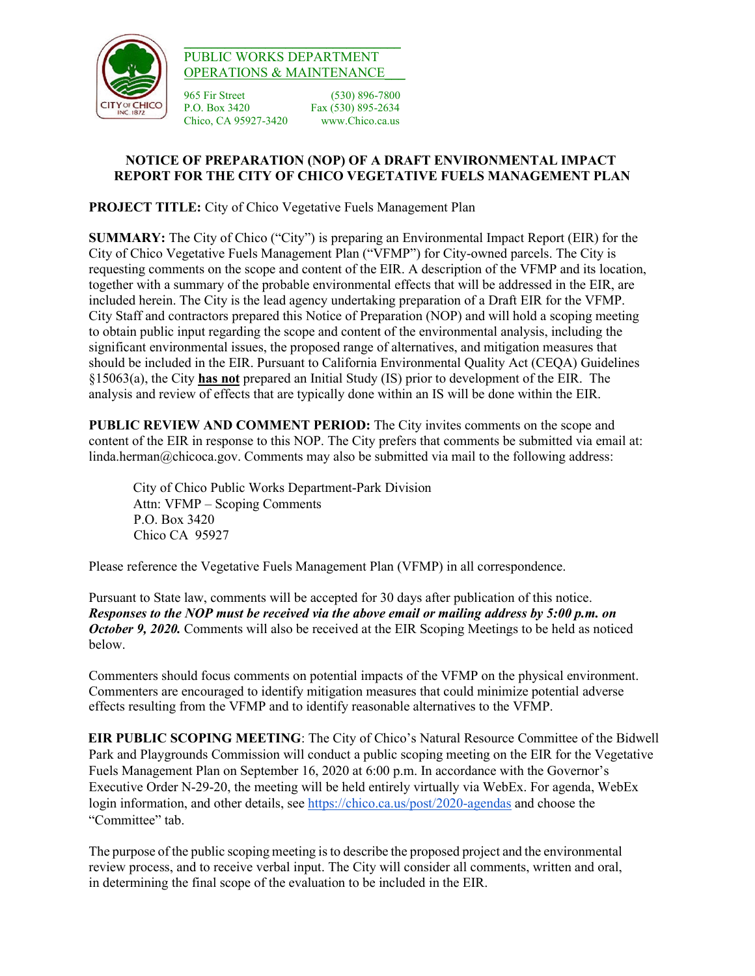

## $\_$ PUBLIC WORKS DEPARTMENT OPERATIONS & MAINTENANCE\_\_\_

965 Fir Street (530) 896-7800 P.O. Box 3420Fax (530) 895-2634 Chico, CA 95927-3420

## **NOTICE OF PREPARATION (NOP) OF A DRAFT ENVIRONMENTAL IMPACT REPORT FOR THE CITY OF CHICO VEGETATIVE FUELS MANAGEMENT PLAN**

**PROJECT TITLE:** City of Chico Vegetative Fuels Management Plan

**SUMMARY:** The City of Chico ("City") is preparing an Environmental Impact Report (EIR) for the City of Chico Vegetative Fuels Management Plan ("VFMP") for City-owned parcels. The City is requesting comments on the scope and content of the EIR. A description of the VFMP and its location, together with a summary of the probable environmental effects that will be addressed in the EIR, are included herein. The City is the lead agency undertaking preparation of a Draft EIR for the VFMP. City Staff and contractors prepared this Notice of Preparation (NOP) and will hold a scoping meeting to obtain public input regarding the scope and content of the environmental analysis, including the significant environmental issues, the proposed range of alternatives, and mitigation measures that should be included in the EIR. Pursuant to California Environmental Quality Act (CEQA) Guidelines §15063(a), the City **has not** prepared an Initial Study (IS) prior to development of the EIR. The analysis and review of effects that are typically done within an IS will be done within the EIR.

**PUBLIC REVIEW AND COMMENT PERIOD:** The City invites comments on the scope and content of the EIR in response to this NOP. The City prefers that comments be submitted via email at: linda.herman@chicoca.gov. Comments may also be submitted via mail to the following address:

City of Chico Public Works Department-Park Division Attn: VFMP – Scoping Comments P.O. Box 3420 Chico CA 95927

Please reference the Vegetative Fuels Management Plan (VFMP) in all correspondence.

Pursuant to State law, comments will be accepted for 30 days after publication of this notice. *Responses to the NOP must be received via the above email or mailing address by 5:00 p.m. on October 9, 2020.* Comments will also be received at the EIR Scoping Meetings to be held as noticed below.

Commenters should focus comments on potential impacts of the VFMP on the physical environment. Commenters are encouraged to identify mitigation measures that could minimize potential adverse effects resulting from the VFMP and to identify reasonable alternatives to the VFMP.

**EIR PUBLIC SCOPING MEETING**: The City of Chico's Natural Resource Committee of the Bidwell Park and Playgrounds Commission will conduct a public scoping meeting on the EIR for the Vegetative Fuels Management Plan on September 16, 2020 at 6:00 p.m. In accordance with the Governor's Executive Order N-29-20, the meeting will be held entirely virtually via WebEx. For agenda, WebEx login information, and other details, see<https://chico.ca.us/post/2020-agendas>and choose the "Committee" tab.

The purpose of the public scoping meeting is to describe the proposed project and the environmental review process, and to receive verbal input. The City will consider all comments, written and oral, in determining the final scope of the evaluation to be included in the EIR.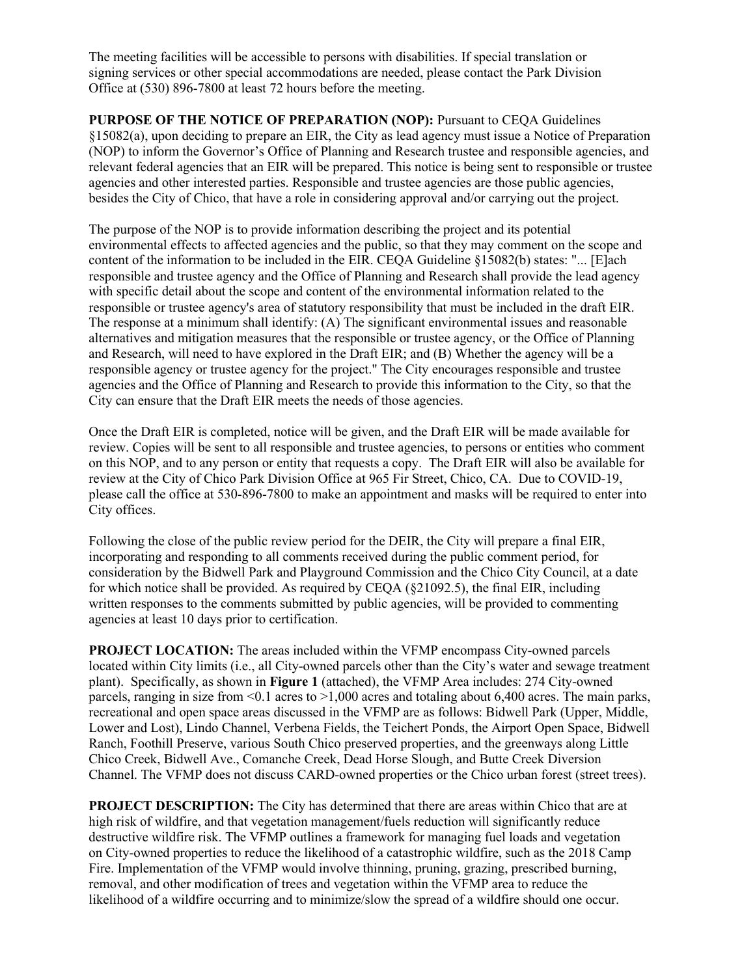The meeting facilities will be accessible to persons with disabilities. If special translation or signing services or other special accommodations are needed, please contact the Park Division Office at (530) 896-7800 at least 72 hours before the meeting.

**PURPOSE OF THE NOTICE OF PREPARATION (NOP):** Pursuant to CEQA Guidelines §15082(a), upon deciding to prepare an EIR, the City as lead agency must issue a Notice of Preparation (NOP) to inform the Governor's Office of Planning and Research trustee and responsible agencies, and relevant federal agencies that an EIR will be prepared. This notice is being sent to responsible or trustee agencies and other interested parties. Responsible and trustee agencies are those public agencies, besides the City of Chico, that have a role in considering approval and/or carrying out the project.

The purpose of the NOP is to provide information describing the project and its potential environmental effects to affected agencies and the public, so that they may comment on the scope and content of the information to be included in the EIR. CEQA Guideline §15082(b) states: "... [E]ach responsible and trustee agency and the Office of Planning and Research shall provide the lead agency with specific detail about the scope and content of the environmental information related to the responsible or trustee agency's area of statutory responsibility that must be included in the draft EIR. The response at a minimum shall identify: (A) The significant environmental issues and reasonable alternatives and mitigation measures that the responsible or trustee agency, or the Office of Planning and Research, will need to have explored in the Draft EIR; and (B) Whether the agency will be a responsible agency or trustee agency for the project." The City encourages responsible and trustee agencies and the Office of Planning and Research to provide this information to the City, so that the City can ensure that the Draft EIR meets the needs of those agencies.

Once the Draft EIR is completed, notice will be given, and the Draft EIR will be made available for review. Copies will be sent to all responsible and trustee agencies, to persons or entities who comment on this NOP, and to any person or entity that requests a copy. The Draft EIR will also be available for review at the City of Chico Park Division Office at 965 Fir Street, Chico, CA. Due to COVID-19, please call the office at 530-896-7800 to make an appointment and masks will be required to enter into City offices.

Following the close of the public review period for the DEIR, the City will prepare a final EIR, incorporating and responding to all comments received during the public comment period, for consideration by the Bidwell Park and Playground Commission and the Chico City Council, at a date for which notice shall be provided. As required by CEQA (§21092.5), the final EIR, including written responses to the comments submitted by public agencies, will be provided to commenting agencies at least 10 days prior to certification.

**PROJECT LOCATION:** The areas included within the VFMP encompass City-owned parcels located within City limits (i.e., all City-owned parcels other than the City's water and sewage treatment plant). Specifically, as shown in **Figure 1** (attached), the VFMP Area includes: 274 City-owned parcels, ranging in size from  $\leq 0.1$  acres to  $\geq 1,000$  acres and totaling about 6,400 acres. The main parks, recreational and open space areas discussed in the VFMP are as follows: Bidwell Park (Upper, Middle, Lower and Lost), Lindo Channel, Verbena Fields, the Teichert Ponds, the Airport Open Space, Bidwell Ranch, Foothill Preserve, various South Chico preserved properties, and the greenways along Little Chico Creek, Bidwell Ave., Comanche Creek, Dead Horse Slough, and Butte Creek Diversion Channel. The VFMP does not discuss CARD-owned properties or the Chico urban forest (street trees).

**PROJECT DESCRIPTION:** The City has determined that there are areas within Chico that are at high risk of wildfire, and that vegetation management/fuels reduction will significantly reduce destructive wildfire risk. The VFMP outlines a framework for managing fuel loads and vegetation on City-owned properties to reduce the likelihood of a catastrophic wildfire, such as the 2018 Camp Fire. Implementation of the VFMP would involve thinning, pruning, grazing, prescribed burning, removal, and other modification of trees and vegetation within the VFMP area to reduce the likelihood of a wildfire occurring and to minimize/slow the spread of a wildfire should one occur.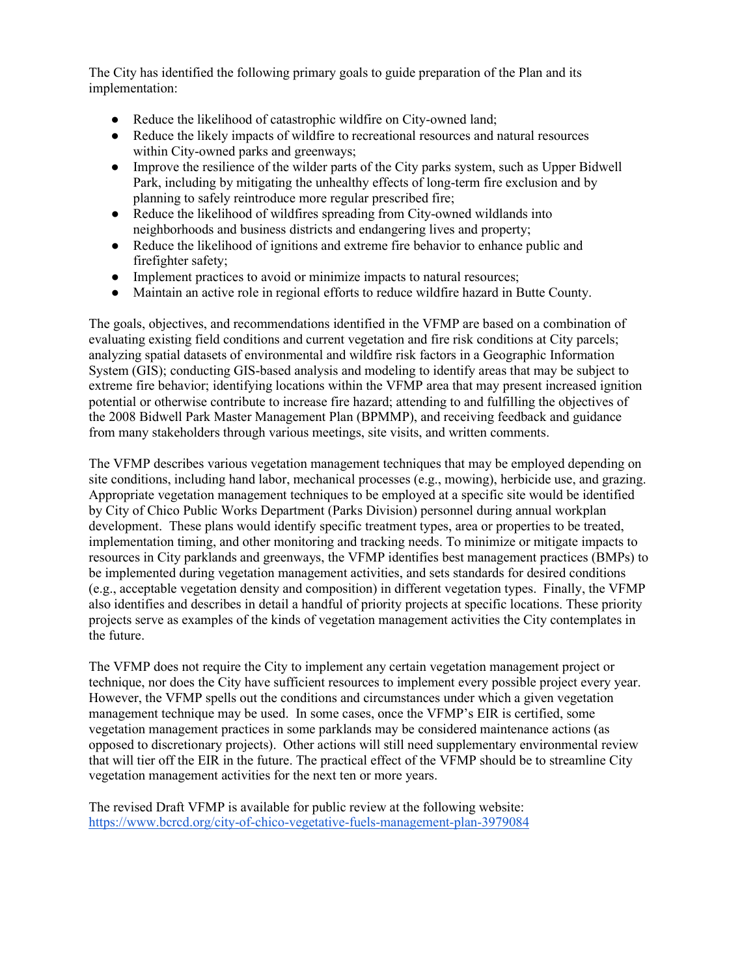The City has identified the following primary goals to guide preparation of the Plan and its implementation:

- Reduce the likelihood of catastrophic wildfire on City-owned land;
- Reduce the likely impacts of wildfire to recreational resources and natural resources within City-owned parks and greenways;
- Improve the resilience of the wilder parts of the City parks system, such as Upper Bidwell Park, including by mitigating the unhealthy effects of long-term fire exclusion and by planning to safely reintroduce more regular prescribed fire;
- Reduce the likelihood of wildfires spreading from City-owned wildlands into neighborhoods and business districts and endangering lives and property;
- Reduce the likelihood of ignitions and extreme fire behavior to enhance public and firefighter safety;
- Implement practices to avoid or minimize impacts to natural resources;
- Maintain an active role in regional efforts to reduce wildfire hazard in Butte County.

The goals, objectives, and recommendations identified in the VFMP are based on a combination of evaluating existing field conditions and current vegetation and fire risk conditions at City parcels; analyzing spatial datasets of environmental and wildfire risk factors in a Geographic Information System (GIS); conducting GIS-based analysis and modeling to identify areas that may be subject to extreme fire behavior; identifying locations within the VFMP area that may present increased ignition potential or otherwise contribute to increase fire hazard; attending to and fulfilling the objectives of the 2008 Bidwell Park Master Management Plan (BPMMP), and receiving feedback and guidance from many stakeholders through various meetings, site visits, and written comments.

The VFMP describes various vegetation management techniques that may be employed depending on site conditions, including hand labor, mechanical processes (e.g., mowing), herbicide use, and grazing. Appropriate vegetation management techniques to be employed at a specific site would be identified by City of Chico Public Works Department (Parks Division) personnel during annual workplan development. These plans would identify specific treatment types, area or properties to be treated, implementation timing, and other monitoring and tracking needs. To minimize or mitigate impacts to resources in City parklands and greenways, the VFMP identifies best management practices (BMPs) to be implemented during vegetation management activities, and sets standards for desired conditions (e.g., acceptable vegetation density and composition) in different vegetation types. Finally, the VFMP also identifies and describes in detail a handful of priority projects at specific locations. These priority projects serve as examples of the kinds of vegetation management activities the City contemplates in the future.

The VFMP does not require the City to implement any certain vegetation management project or technique, nor does the City have sufficient resources to implement every possible project every year. However, the VFMP spells out the conditions and circumstances under which a given vegetation management technique may be used. In some cases, once the VFMP's EIR is certified, some vegetation management practices in some parklands may be considered maintenance actions (as opposed to discretionary projects). Other actions will still need supplementary environmental review that will tier off the EIR in the future. The practical effect of the VFMP should be to streamline City vegetation management activities for the next ten or more years.

The revised Draft VFMP is available for public review at the following website: <https://www.bcrcd.org/city-of-chico-vegetative-fuels-management-plan-3979084>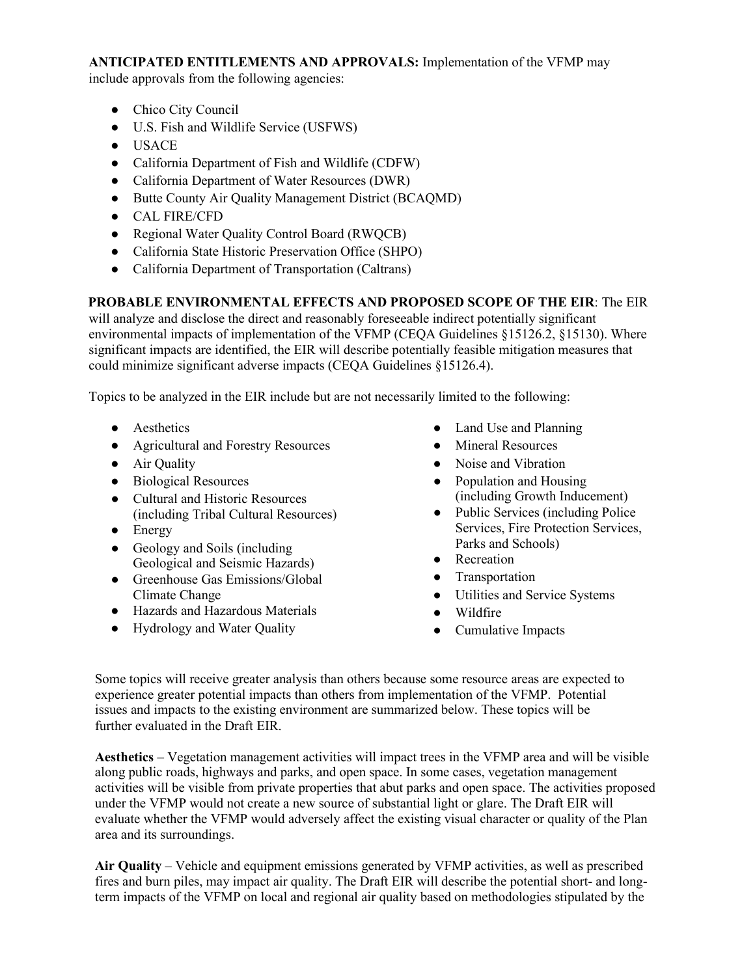## **ANTICIPATED ENTITLEMENTS AND APPROVALS:** Implementation of the VFMP may

include approvals from the following agencies:

- Chico City Council
- U.S. Fish and Wildlife Service (USFWS)
- USACE
- California Department of Fish and Wildlife (CDFW)
- California Department of Water Resources (DWR)
- Butte County Air Quality Management District (BCAQMD)
- CAL FIRE/CFD
- Regional Water Quality Control Board (RWQCB)
- California State Historic Preservation Office (SHPO)
- California Department of Transportation (Caltrans)

# **PROBABLE ENVIRONMENTAL EFFECTS AND PROPOSED SCOPE OF THE EIR**: The EIR

will analyze and disclose the direct and reasonably foreseeable indirect potentially significant environmental impacts of implementation of the VFMP (CEQA Guidelines §15126.2, §15130). Where significant impacts are identified, the EIR will describe potentially feasible mitigation measures that could minimize significant adverse impacts (CEQA Guidelines §15126.4).

Topics to be analyzed in the EIR include but are not necessarily limited to the following:

- Aesthetics
- Agricultural and Forestry Resources
- Air Quality
- Biological Resources
- Cultural and Historic Resources (including Tribal Cultural Resources)
- Energy
- Geology and Soils (including Geological and Seismic Hazards)
- Greenhouse Gas Emissions/Global Climate Change
- Hazards and Hazardous Materials
- Hydrology and Water Quality
- Land Use and Planning
- Mineral Resources
- Noise and Vibration
- Population and Housing (including Growth Inducement)
- Public Services (including Police Services, Fire Protection Services, Parks and Schools)
- Recreation
- Transportation
- Utilities and Service Systems
- Wildfire
- Cumulative Impacts

Some topics will receive greater analysis than others because some resource areas are expected to experience greater potential impacts than others from implementation of the VFMP. Potential issues and impacts to the existing environment are summarized below. These topics will be further evaluated in the Draft EIR.

**Aesthetics** – Vegetation management activities will impact trees in the VFMP area and will be visible along public roads, highways and parks, and open space. In some cases, vegetation management activities will be visible from private properties that abut parks and open space. The activities proposed under the VFMP would not create a new source of substantial light or glare. The Draft EIR will evaluate whether the VFMP would adversely affect the existing visual character or quality of the Plan area and its surroundings.

**Air Quality** – Vehicle and equipment emissions generated by VFMP activities, as well as prescribed fires and burn piles, may impact air quality. The Draft EIR will describe the potential short- and longterm impacts of the VFMP on local and regional air quality based on methodologies stipulated by the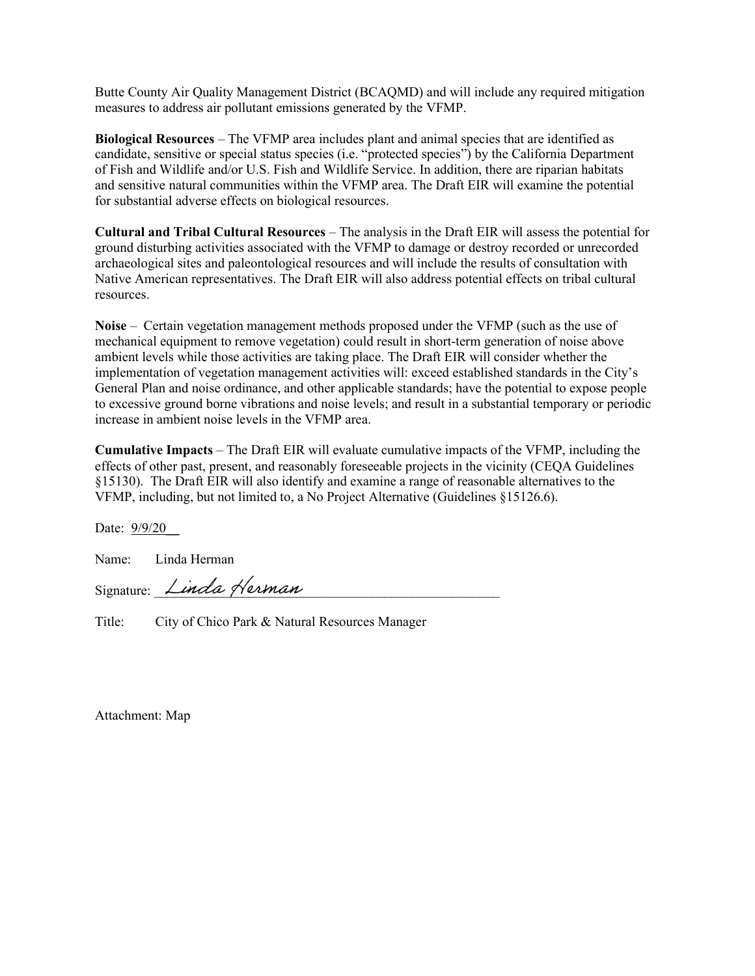Butte County Air Quality Management District (BCAQMD) and will include any required mitigation measures to address air pollutant emissions generated by the VFMP.

**Biological Resources** – The VFMP area includes plant and animal species that are identified as candidate, sensitive or special status species (i.e. "protected species") by the California Department of Fish and Wildlife and/or U.S. Fish and Wildlife Service. In addition, there are riparian habitats and sensitive natural communities within the VFMP area. The Draft EIR will examine the potential for substantial adverse effects on biological resources.

**Cultural and Tribal Cultural Resources** – The analysis in the Draft EIR will assess the potential for ground disturbing activities associated with the VFMP to damage or destroy recorded or unrecorded archaeological sites and paleontological resources and will include the results of consultation with Native American representatives. The Draft EIR will also address potential effects on tribal cultural resources.

**Noise** – Certain vegetation management methods proposed under the VFMP (such as the use of mechanical equipment to remove vegetation) could result in short-term generation of noise above ambient levels while those activities are taking place. The Draft EIR will consider whether the implementation of vegetation management activities will: exceed established standards in the City's General Plan and noise ordinance, and other applicable standards; have the potential to expose people to excessive ground borne vibrations and noise levels; and result in a substantial temporary or periodic increase in ambient noise levels in the VFMP area.

**Cumulative Impacts** – The Draft EIR will evaluate cumulative impacts of the VFMP, including the effects of other past, present, and reasonably foreseeable projects in the vicinity (CEQA Guidelines §15130). The Draft EIR will also identify and examine a range of reasonable alternatives to the VFMP, including, but not limited to, a No Project Alternative (Guidelines §15126.6).

Date: 9/9/20\_\_

Name: Linda Herman

Signature: *Linda Herman* 

Title: City of Chico Park & Natural Resources Manager

Attachment: Map